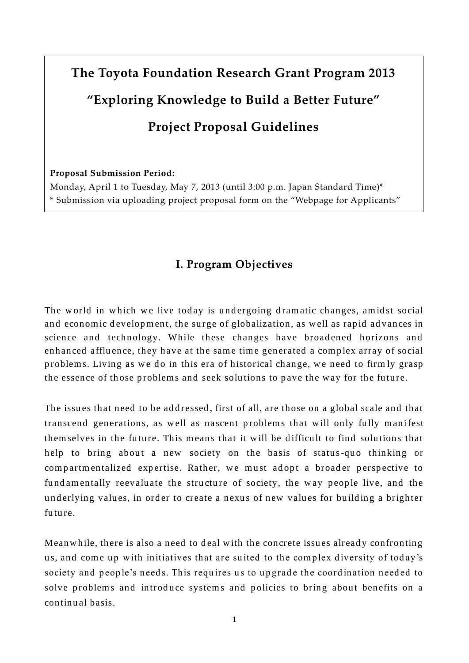# **The Toyota Foundation Research Grant Program 2013 "Exploring Knowledge to Build a Better Future" Project Proposal Guidelines**

**Proposal Submission Period:**

Monday, April 1 to Tuesday, May 7, 2013 (until 3:00 p.m. Japan Standard Time)\* \* Submission via uploading project proposal form on the "Webpage for Applicants"

## **I. Program Objectives**

The world in which we live today is undergoing dramatic changes, amidst social and economic development, the surge of globalization, as well as rapid advances in science and technology. While these changes have broadened horizons and enhanced affluence, they have at the same time generated a complex array of social problems. Living as we do in this era of historical change, we need to firmly grasp the essence of those problems and seek solutions to pave the way for the future.

The issues that need to be addressed, first of all, are those on a global scale and that transcend generations, as well as nascent problems that will only fully manifest them selves in the future. This means that it will be difficult to find solutions that help to bring about a new society on the basis of status-quo thinking or compartmentalized expertise. Rather, we must adopt a broader perspective to fund amentally reevaluate the structure of society, the way people live, and the underlying values, in order to create a nexus of new values for building a brighter fu tu re.

Meanwhile, there is also a need to deal with the concrete issues already confronting us, and come up with initiatives that are suited to the complex diversity of today's society and people's needs. This requires us to upgrade the coordination needed to solve problems and introduce systems and policies to bring about benefits on a continu al basis.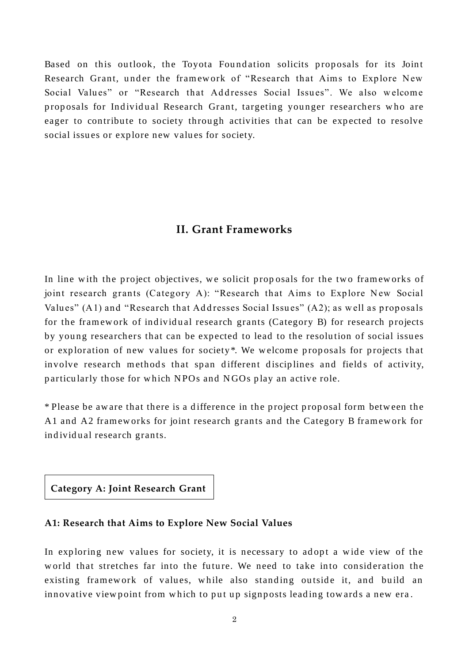Based on this outlook, the Toyota Foundation solicits proposals for its Joint Research Grant, under the framework of "Research that Aims to Explore New Social Values" or "Research that Addresses Social Issues". We also welcome proposals for Individual Research Grant, targeting younger researchers who are eager to contribute to society through activities that can be expected to resolve social issues or explore new values for society.

## **II. Grant Frameworks**

In line with the project objectives, we solicit proposals for the two frameworks of joint research grants (Category A): "Research that Aims to Explore New Social Values" (A1) and "Research that Addresses Social Issues" (A2); as well as proposals for the framework of individual research grants (Category B) for research projects by young researchers that can be expected to lead to the resolution of social issues or exploration of new values for society\*. We welcome proposals for projects that involve research methods that span different disciplines and fields of activity, particularly those for which NPOs and NGOs play an active role.

\* Please be aw are that there is a d ifference in the p roject p rop osal form betw een the A1 and A2 frameworks for joint research grants and the Category B framework for individual research grants.

**Category A: Joint Research Grant**

#### **A1: Research that Aims to Explore New Social Values**

In exploring new values for society, it is necessary to adopt a wide view of the world that stretches far into the future. We need to take into consideration the existing framework of values, while also standing outside it, and build an innovative view point from which to put up signposts leading towards a new era.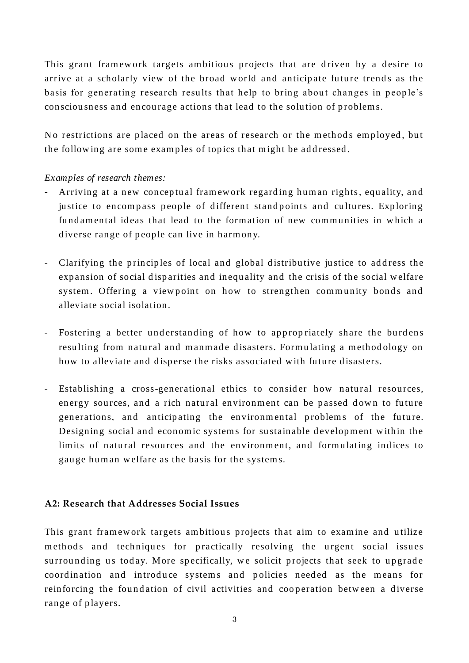This grant framework targets ambitious projects that are driven by a desire to arrive at a scholarly view of the broad world and anticipate future trends as the basis for generating research results that help to bring about changes in people's consciousness and encourage actions that lead to the solution of problems.

No restrictions are placed on the areas of research or the methods employed, but the following are some examples of topics that might be addressed.

#### *Examples of research themes:*

- Arriving at a new conceptual framework regarding human rights, equality, and justice to encompass people of different standpoints and cultures. Exploring fund amental ideas that lead to the formation of new communities in which a diverse range of people can live in harmony.
- Clarifying the principles of local and global distributive justice to address the expansion of social disparities and inequality and the crisis of the social welfare system. Offering a viewpoint on how to strengthen community bonds and alleviate social isolation.
- Fostering a better understanding of how to appropriately share the burdens resulting from natural and manmade disasters. Formulating a methodology on how to alleviate and disperse the risks associated with future disasters.
- Establishing a cross-generational ethics to consider how natural resources, energy sources, and a rich natural environment can be passed down to future generations, and anticipating the environmental problems of the future. Designing social and economic systems for sustainable development within the limits of natural resources and the environment, and formulating indices to gauge human welfare as the basis for the systems.

#### **A2: Research that Addresses Social Issues**

This grant framework targets ambitious projects that aim to examine and utilize methods and techniques for practically resolving the urgent social issues surrounding us today. More specifically, we solicit projects that seek to upgrade coordination and introduce systems and policies needed as the means for reinforcing the foundation of civil activities and cooperation between a diverse range of players.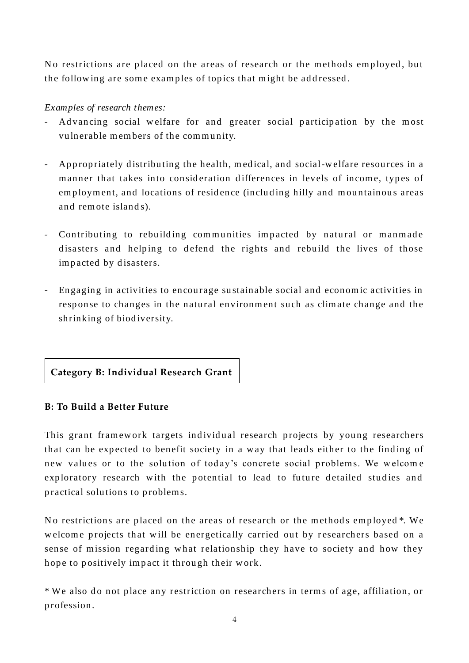No restrictions are placed on the areas of research or the methods employed, but the following are some examples of topics that might be addressed.

## *Examples of research themes:*

- Advancing social welfare for and greater social participation by the most vulnerable members of the community.
- Appropriately distributing the health, medical, and social-welfare resources in a manner that takes into consideration differences in levels of income, types of employment, and locations of residence (including hilly and mountainous areas and remote islands).
- Contributing to rebuilding communities impacted by natural or manmade disasters and helping to defend the rights and rebuild the lives of those impacted by disasters.
- Engaging in activities to encourage sustainable social and economic activities in response to changes in the natural environment such as climate change and the shrinking of biodiversity.

## **Category B: Individual Research Grant**

## **B: To Build a Better Future**

This grant framework targets individual research projects by young researchers that can be expected to benefit society in a way that leads either to the finding of new values or to the solution of today's concrete social problems. We welcome exploratory research with the potential to lead to future detailed studies and practical solutions to problems.

No restrictions are placed on the areas of research or the methods employed \*. We welcome projects that will be energetically carried out by researchers based on a sense of mission regarding what relationship they have to society and how they hope to positively impact it through their work.

\* We also do not place any restriction on researchers in terms of age, affiliation, or p rofession.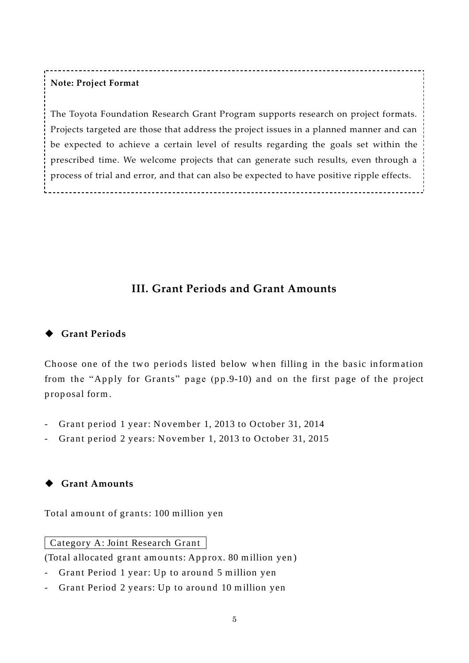## **Note: Project Format**

The Toyota Foundation Research Grant Program supports research on project formats. Projects targeted are those that address the project issues in a planned manner and can be expected to achieve a certain level of results regarding the goals set within the prescribed time. We welcome projects that can generate such results, even through a process of trial and error, and that can also be expected to have positive ripple effects.

# **III. Grant Periods and Grant Amounts**

## **Grant Periods**

Choose one of the two periods listed below when filling in the basic information from the "Apply for Grants" page (pp.9-10) and on the first page of the project p rop osal form.

- Grant period 1 year: November 1, 2013 to October 31, 2014
- Grant period 2 years: November 1, 2013 to October 31, 2015

## **Grant Amounts**

Total amount of grants: 100 million yen

Category A: Joint Research Grant

(Total allocated grant amounts: Approx. 80 million yen)

- Grant Period 1 year: Up to around 5 million yen
- Grant Period 2 years: Up to around 10 million yen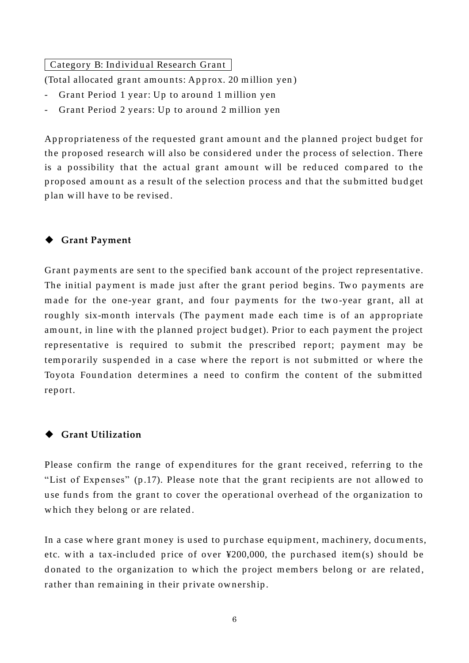Category B: Individual Research Grant

(Total allocated grant amounts: Approx. 20 million yen)

- Grant Period 1 year: Up to around 1 million yen
- Grant Period 2 years: Up to around 2 million yen

Appropriateness of the requested grant amount and the planned project budget for the proposed research will also be considered under the process of selection. There is a possibility that the actual grant amount will be reduced compared to the proposed amount as a result of the selection process and that the submitted budget plan will have to be revised.

#### **Grant Payment**

Grant payments are sent to the specified bank account of the project representative. The initial payment is made just after the grant period begins. Two payments are made for the one-year grant, and four payments for the two-year grant, all at roughly six-month intervals (The payment made each time is of an appropriate amount, in line with the planned project budget). Prior to each payment the project representative is required to submit the prescribed report; payment may be tem porarily suspended in a case where the report is not submitted or where the Toyota Foundation determines a need to confirm the content of the submitted rep ort.

#### **Grant Utilization**

Please confirm the range of expenditures for the grant received, referring to the "List of Expenses" (p.17). Please note that the grant recipients are not allowed to use funds from the grant to cover the operational overhead of the organization to which they belong or are related.

In a case where grant money is used to purchase equipment, machinery, documents, etc. with a tax-included price of over  $\text{\texttt{Y200,000}}$ , the purchased item(s) should be donated to the organization to which the project members belong or are related, rather than remaining in their private ownership.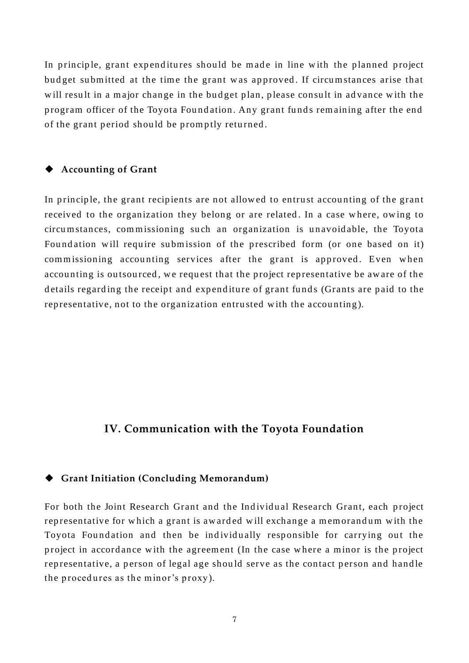In principle, grant expenditures should be made in line with the planned project budget submitted at the time the grant was approved. If circumstances arise that will result in a major change in the budget plan, please consult in advance with the program officer of the Toyota Foundation. Any grant funds remaining after the end of the grant period should be promptly returned.

#### **Accounting of Grant**

In principle, the grant recipients are not allowed to entrust accounting of the grant received to the organization they belong or are related. In a case where, owing to circu m stances, commissioning such an organization is unavoidable, the Toyota Foundation will require submission of the prescribed form (or one based on it) commissioning accounting services after the grant is approved. Even when accounting is outsourced, we request that the project representative be aware of the details regarding the receipt and expenditure of grant funds (Grants are paid to the representative, not to the organization entrusted with the accounting).

## **IV. Communication with the Toyota Foundation**

#### **Grant Initiation (Concluding Memorandum)**

For both the Joint Research Grant and the Individual Research Grant, each project representative for which a grant is awarded will exchange a memorandum with the Toyota Foundation and then be individually responsible for carrying out the project in accordance with the agreement (In the case where a minor is the project representative, a person of legal age should serve as the contact person and handle the procedures as the minor's proxy).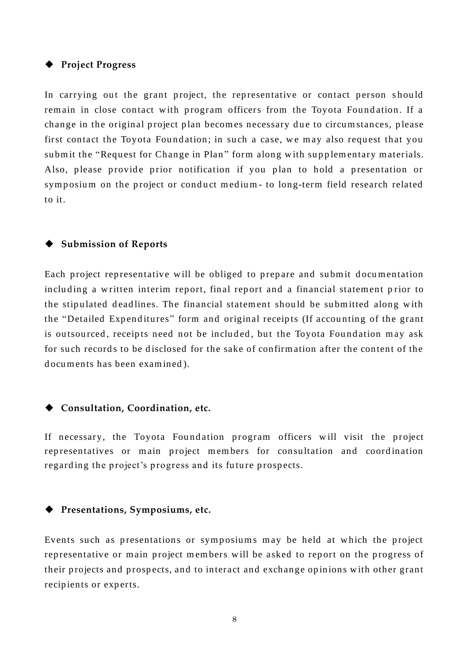#### **Project Progress**

In carrying out the grant project, the representative or contact person should remain in close contact with program officers from the Toyota Foundation. If a change in the original project plan becomes necessary due to circumstances, please first contact the Toyota Foundation; in such a case, we may also request that you submit the "Request for Change in Plan" form along with supplementary materials. Also, please provide prior notification if you plan to hold a presentation or symposium on the project or conduct medium- to long-term field research related to it.

#### **Submission of Reports**

Each project representative will be obliged to prepare and submit documentation including a written interim report, final report and a financial statement prior to the stipulated deadlines. The financial statement should be submitted along with the "Detailed Expenditures" form and original receipts (If accounting of the grant is outsourced, receipts need not be included, but the Toyota Foundation may ask for such records to be disclosed for the sake of confirmation after the content of the d ocu ments has been exam ined ).

#### **Consultation, Coordination, etc.**

If necessary, the Toyota Foundation program officers will visit the project representatives or main project members for consultation and coordination regarding the project's progress and its future prospects.

#### **Presentations, Symposiums, etc.**

Events such as presentations or symposiums may be held at which the project representative or main project members will be asked to report on the progress of their projects and prospects, and to interact and exchange opinions with other grant recipients or experts.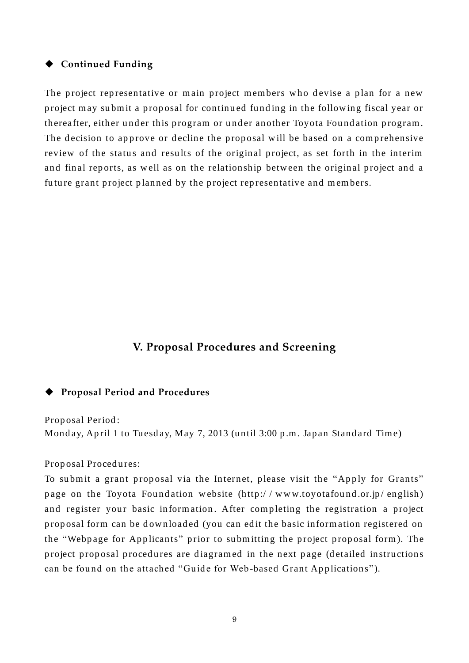#### **Continued Funding**

The project representative or main project members who devise a plan for a new project may submit a proposal for continued funding in the following fiscal year or thereafter, either under this program or under another Toyota Foundation program. The decision to approve or decline the proposal will be based on a comprehensive review of the status and results of the original project, as set forth in the interim and final reports, as well as on the relationship between the original project and a future grant project planned by the project representative and members.

## **V. Proposal Procedures and Screening**

#### **Proposal Period and Procedures**

Prop osal Period : Monday, April 1 to Tuesday, May 7, 2013 (until 3:00 p.m. Japan Standard Time)

Proposal Procedures:

To submit a grant proposal via the Internet, please visit the "Apply for Grants" page on the Toyota Foundation website (http://www.toyotafound.or.jp/english) and register your basic information. After completing the registration a project proposal form can be downloaded (you can edit the basic information registered on the "Webpage for Applicants" prior to submitting the project proposal form). The project proposal procedures are diagramed in the next page (detailed instructions can be found on the attached "Guide for Web-based Grant Applications").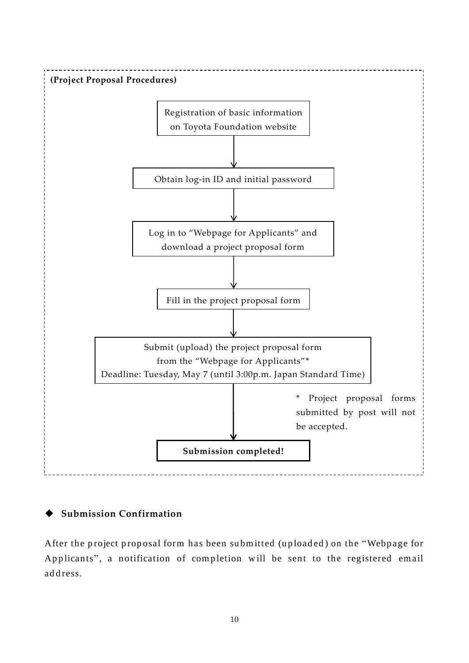

## **Submission Confirmation**

After the project proposal form has been submitted (uploaded) on the "Webpage for Applicants", a notification of completion will be sent to the registered email address.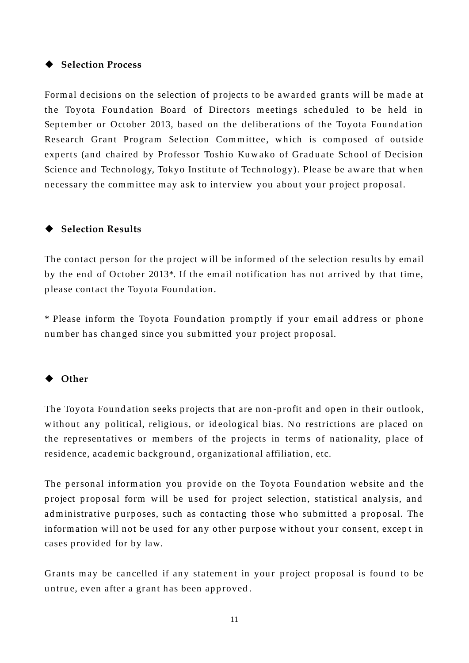#### ◆ Selection Process

Formal decisions on the selection of projects to be awarded grants will be made at the Toyota Foundation Board of Directors meetings scheduled to be held in September or October 2013, based on the deliberations of the Toyota Foundation Research Grant Program Selection Committee, which is composed of outside experts (and chaired by Professor Toshio Kuwako of Graduate School of Decision Science and Technology, Tokyo Institute of Technology). Please be aware that when necessary the committee may ask to interview you about your project proposal.

#### ◆ Selection Results

The contact person for the project will be informed of the selection results by email by the end of October 2013<sup>\*</sup>. If the email notification has not arrived by that time, p lease contact the Toyota Fou nd ation.

\* Please inform the Toyota Foundation promptly if your email address or phone number has changed since you submitted your project proposal.

#### **Other**

The Toyota Foundation seeks projects that are non-profit and open in their outlook, without any political, religious, or ideological bias. No restrictions are placed on the representatives or members of the projects in terms of nationality, place of residence, academic background, organizational affiliation, etc.

The personal information you provide on the Toyota Foundation website and the project proposal form will be used for project selection, statistical analysis, and ad ministrative purposes, such as contacting those who submitted a proposal. The information will not be used for any other purpose without your consent, except in cases provided for by law.

Grants may be cancelled if any statement in your project proposal is found to be untrue, even after a grant has been approved.

11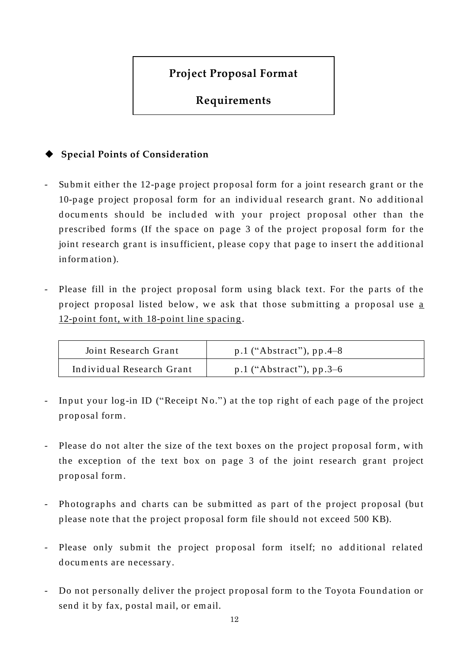# **Project Proposal Format**

# **Requirements**

## **Special Points of Consideration**

- Submit either the 12-page project proposal form for a joint research grant or the 10-page project proposal form for an individual research grant. No additional documents should be included with your project proposal other than the prescribed forms (If the space on page 3 of the project proposal form for the joint research grant is insufficient, please copy that page to insert the additional inform ation ).
- Please fill in the project proposal form using black text. For the parts of the project proposal listed below, we ask that those submitting a proposal use a 12-point font, with 18-point line spacing.

| Joint Research Grant      | $p.1$ ("Abstract"), $pp.4-8$ |
|---------------------------|------------------------------|
| Individual Research Grant | $p.1$ ("Abstract"), $pp.3-6$ |

- Input your log-in ID ("Receipt No.") at the top right of each page of the project p rop osal form.
- Please do not alter the size of the text boxes on the project proposal form, with the exception of the text box on page 3 of the joint research grant project p rop osal form .
- Photographs and charts can be submitted as part of the project proposal (but please note that the project proposal form file should not exceed 500 KB).
- Please only submit the project proposal form itself; no additional related documents are necessary.
- Do not personally deliver the project proposal form to the Toyota Foundation or send it by fax, postal mail, or email.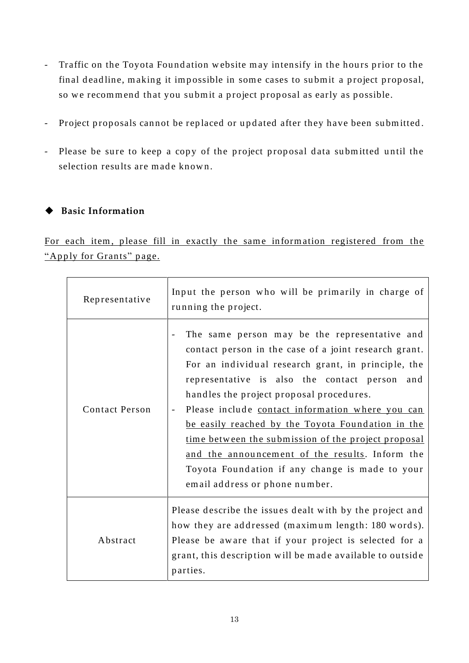- Traffic on the Toyota Foundation website may intensify in the hours prior to the final deadline, making it impossible in some cases to submit a project proposal, so we recommend that you submit a project proposal as early as possible.
- Project proposals cannot be replaced or updated after they have been submitted.
- Please be sure to keep a copy of the project proposal data submitted until the selection results are made known.

#### **Basic Information**

For each item, please fill in exactly the same information registered from the "Apply for Grants" page.

| Representative        | Input the person who will be primarily in charge of<br>running the project.                                                                                                                                                                                                                                                                                                                                                                                                                                                                                           |
|-----------------------|-----------------------------------------------------------------------------------------------------------------------------------------------------------------------------------------------------------------------------------------------------------------------------------------------------------------------------------------------------------------------------------------------------------------------------------------------------------------------------------------------------------------------------------------------------------------------|
| <b>Contact Person</b> | The same person may be the representative and<br>contact person in the case of a joint research grant.<br>For an individual research grant, in principle, the<br>representative is also the contact person<br>and<br>handles the project proposal procedures.<br>Please include contact information where you can<br>be easily reached by the Toyota Foundation in the<br>time between the submission of the project proposal<br>and the announcement of the results. Inform the<br>Toyota Foundation if any change is made to your<br>email address or phone number. |
| Abstract              | Please describe the issues dealt with by the project and<br>how they are addressed (maximum length: 180 words).<br>Please be aware that if your project is selected for a<br>grant, this description will be made available to outside<br>parties.                                                                                                                                                                                                                                                                                                                    |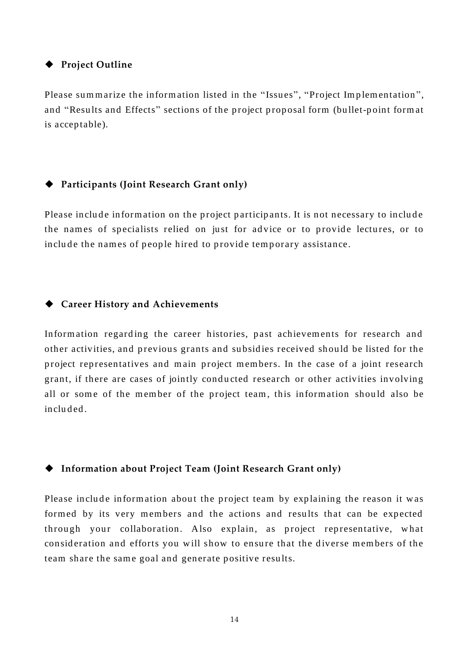#### **Project Outline**

Please summarize the information listed in the "Issues", "Project Implementation", and "Results and Effects" sections of the project proposal form (bullet-point format is accep table).

#### **Participants (Joint Research Grant only)**

Please include information on the project participants. It is not necessary to include the names of specialists relied on just for advice or to provide lectures, or to include the names of people hired to provide temporary assistance.

#### **Career History and Achievements**

Information regarding the career histories, past achievements for research and other activities, and previous grants and subsidies received should be listed for the project representatives and main project members. In the case of a joint research grant, if there are cases of jointly conducted research or other activities involving all or some of the member of the project team, this information should also be included.

#### **Information about Project Team (Joint Research Grant only)**

Please include information about the project team by explaining the reason it was formed by its very members and the actions and results that can be expected through your collaboration. Also explain, as project representative, what consideration and efforts you will show to ensure that the diverse members of the team share the same goal and generate positive results.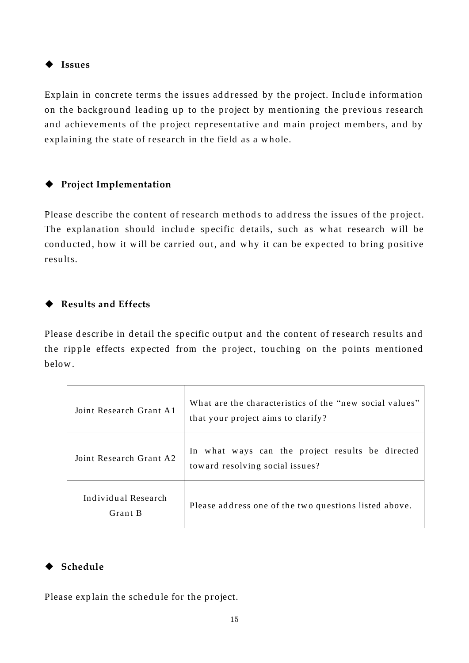**Issues**

Explain in concrete terms the issues addressed by the project. Include information on the background leading up to the project by mentioning the previous research and achievements of the project representative and main project members, and by exp laining the state of research in the field as a w hole.

## **Project Implementation**

Please describe the content of research methods to address the issues of the project. The explanation should include specific details, such as what research will be conducted, how it will be carried out, and why it can be expected to bring positive resu lts.

## **Results and Effects**

Please describe in detail the specific output and the content of research results and the ripple effects expected from the project, touching on the points mentioned below .

| Joint Research Grant A1        | What are the characteristics of the "new social values"<br>that your project aims to clarify? |
|--------------------------------|-----------------------------------------------------------------------------------------------|
| Joint Research Grant A2        | In what ways can the project results be directed<br>toward resolving social issues?           |
| Individual Research<br>Grant B | Please address one of the two questions listed above.                                         |

## **Schedule**

Please explain the schedule for the project.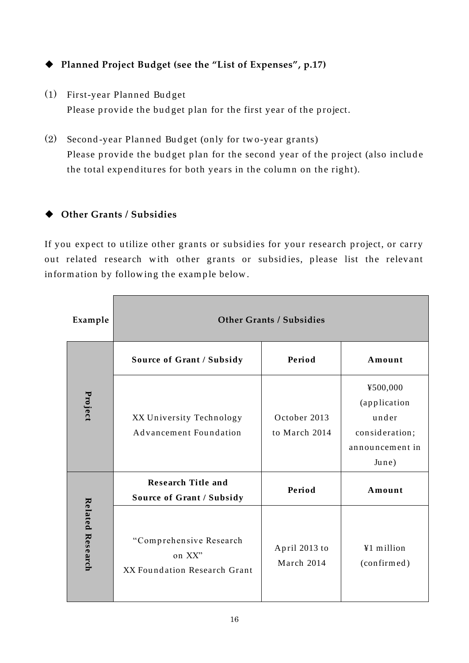# **Planned Project Budget (see the "List of Expenses", p.17)**

- (1) First-year Planned Budget Please provide the budget plan for the first year of the project.
- (2) Second-year Planned Budget (only for two-year grants) Please provide the budget plan for the second year of the project (also include the total expenditures for both years in the column on the right).

## **Other Grants / Subsidies**

If you expect to utilize other grants or subsidies for your research project, or carry out related research with other grants or subsidies, please list the relevant information by following the example below.

| Example          | <b>Other Grants / Subsidies</b>                                   |                               |                                                                                 |  |  |
|------------------|-------------------------------------------------------------------|-------------------------------|---------------------------------------------------------------------------------|--|--|
|                  | Source of Grant / Subsidy                                         | Period                        | Amount                                                                          |  |  |
| Project          | XX University Technology<br>Advancement Foundation                | October 2013<br>to March 2014 | ¥500,000<br>(application<br>under<br>consideration;<br>announcement in<br>June) |  |  |
| Related Research | <b>Research Title and</b><br><b>Source of Grant / Subsidy</b>     | Period                        | Amount                                                                          |  |  |
|                  | "Comprehensive Research<br>on XX"<br>XX Foundation Research Grant | April 2013 to<br>March 2014   | ¥1 million<br>(confirmed)                                                       |  |  |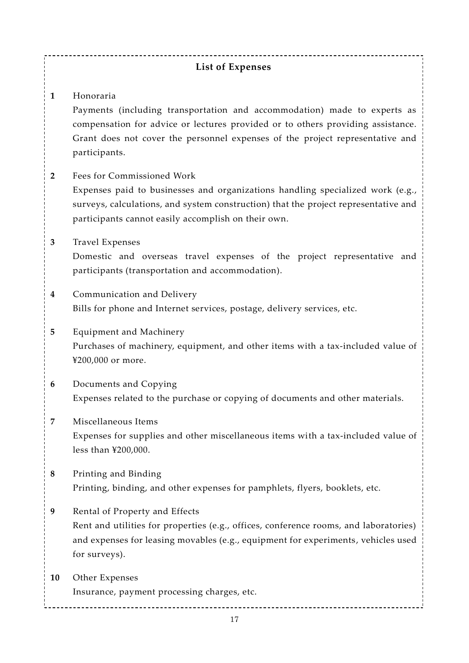#### **List of Expenses**

**1** Honoraria

Payments (including transportation and accommodation) made to experts as compensation for advice or lectures provided or to others providing assistance. Grant does not cover the personnel expenses of the project representative and participants.

- **2** Fees for Commissioned Work Expenses paid to businesses and organizations handling specialized work (e.g., surveys, calculations, and system construction) that the project representative and participants cannot easily accomplish on their own.
- **3** Travel Expenses

Domestic and overseas travel expenses of the project representative and participants (transportation and accommodation).

- **4** Communication and Delivery Bills for phone and Internet services, postage, delivery services, etc.
- **5** Equipment and Machinery Purchases of machinery, equipment, and other items with a tax-included value of ¥200,000 or more.
- **6** Documents and Copying Expenses related to the purchase or copying of documents and other materials.
- **7** Miscellaneous Items Expenses for supplies and other miscellaneous items with a tax-included value of less than ¥200,000.
- **8** Printing and Binding Printing, binding, and other expenses for pamphlets, flyers, booklets, etc.
- **9** Rental of Property and Effects Rent and utilities for properties (e.g., offices, conference rooms, and laboratories) and expenses for leasing movables (e.g., equipment for experiments, vehicles used for surveys).
- **10** Other Expenses Insurance, payment processing charges, etc.